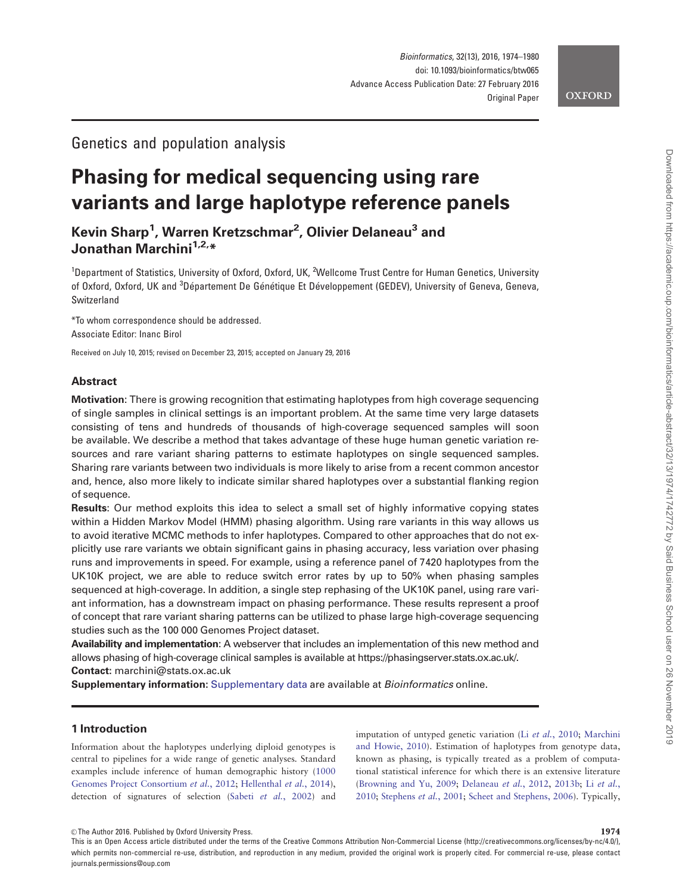

## Genetics and population analysis

# Phasing for medical sequencing using rare variants and large haplotype reference panels

Kevin Sharp<sup>1</sup>, Warren Kretzschmar<sup>2</sup>, Olivier Delaneau<sup>3</sup> and Jonathan Marchini<sup>1,2,\*</sup>

<sup>1</sup>Department of Statistics, University of Oxford, Oxford, UK, <sup>2</sup>Wellcome Trust Centre for Human Genetics, University of Oxford, Oxford, UK and <sup>3</sup>Département De Génétique Et Développement (GEDEV), University of Geneva, Geneva, Switzerland

\*To whom correspondence should be addressed. Associate Editor: Inanc Birol

Received on July 10, 2015; revised on December 23, 2015; accepted on January 29, 2016

## Abstract

Motivation: There is growing recognition that estimating haplotypes from high coverage sequencing of single samples in clinical settings is an important problem. At the same time very large datasets consisting of tens and hundreds of thousands of high-coverage sequenced samples will soon be available. We describe a method that takes advantage of these huge human genetic variation resources and rare variant sharing patterns to estimate haplotypes on single sequenced samples. Sharing rare variants between two individuals is more likely to arise from a recent common ancestor and, hence, also more likely to indicate similar shared haplotypes over a substantial flanking region of sequence.

Results: Our method exploits this idea to select a small set of highly informative copying states within a Hidden Markov Model (HMM) phasing algorithm. Using rare variants in this way allows us to avoid iterative MCMC methods to infer haplotypes. Compared to other approaches that do not explicitly use rare variants we obtain significant gains in phasing accuracy, less variation over phasing runs and improvements in speed. For example, using a reference panel of 7420 haplotypes from the UK10K project, we are able to reduce switch error rates by up to 50% when phasing samples sequenced at high-coverage. In addition, a single step rephasing of the UK10K panel, using rare variant information, has a downstream impact on phasing performance. These results represent a proof of concept that rare variant sharing patterns can be utilized to phase large high-coverage sequencing studies such as the 100 000 Genomes Project dataset.

Availability and implementation: A webserver that includes an implementation of this new method and allows phasing of high-coverage clinical samples is available at [https://phasingserver.stats.ox.ac.uk/.](https://phasingserver.stats.ox.ac.uk/) Contact: marchini@stats.ox.ac.uk

Supplementary information: [Supplementary data](http://bioinformatics.oxfordjournals.org/lookup/suppl/doi:10.1093/bioinformatics/btw065/-/DC1) are available at *Bioinformatics* online.

## 1 Introduction

Information about the haplotypes underlying diploid genotypes is central to pipelines for a wide range of genetic analyses. Standard examples include inference of human demographic history [\(1000](#page-6-0) [Genomes Project Consortium](#page-6-0) et al., 2012; [Hellenthal](#page-6-0) et al., 2014), detection of signatures of selection (Sabeti et al.[, 2002](#page-6-0)) and imputation of untyped genetic variation (Li et al.[, 2010;](#page-6-0) [Marchini](#page-6-0) [and Howie, 2010\)](#page-6-0). Estimation of haplotypes from genotype data, known as phasing, is typically treated as a problem of computational statistical inference for which there is an extensive literature ([Browning and Yu, 2009;](#page-6-0) [Delaneau](#page-6-0) et al., 2012, [2013b](#page-6-0); Li [et al.](#page-6-0), [2010;](#page-6-0) [Stephens](#page-6-0) et al., 2001; [Scheet and Stephens, 2006](#page-6-0)). Typically,

© The Author 2016. Published by Oxford University Press.  $1974$ 

This is an Open Access article distributed under the terms of the Creative Commons Attribution Non-Commercial License (http://creativecommons.org/licenses/by-nc/4.0/), which permits non-commercial re-use, distribution, and reproduction in any medium, provided the original work is properly cited. For commercial re-use, please contact journals.permissions@oup.com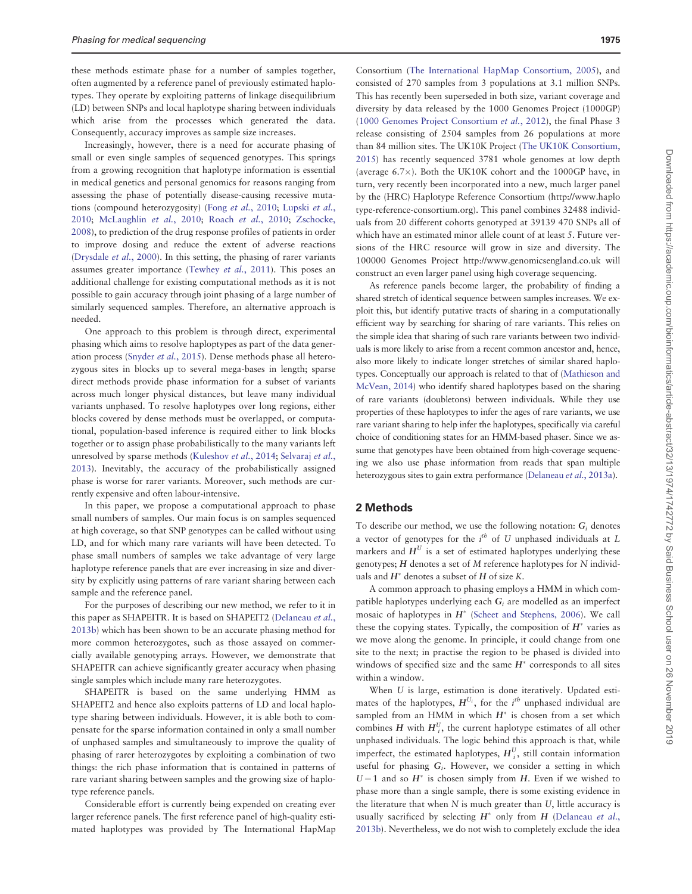these methods estimate phase for a number of samples together, often augmented by a reference panel of previously estimated haplotypes. They operate by exploiting patterns of linkage disequilibrium (LD) between SNPs and local haplotype sharing between individuals which arise from the processes which generated the data. Consequently, accuracy improves as sample size increases.

Increasingly, however, there is a need for accurate phasing of small or even single samples of sequenced genotypes. This springs from a growing recognition that haplotype information is essential in medical genetics and personal genomics for reasons ranging from assessing the phase of potentially disease-causing recessive mutations (compound heterozygosity) (Fong et al.[, 2010;](#page-6-0) [Lupski](#page-6-0) et al., [2010;](#page-6-0) [McLaughlin](#page-6-0) et al., 2010; Roach et al.[, 2010](#page-6-0); [Zschocke,](#page-6-0) [2008\)](#page-6-0), to prediction of the drug response profiles of patients in order to improve dosing and reduce the extent of adverse reactions ([Drysdale](#page-6-0) et al., 2000). In this setting, the phasing of rarer variants assumes greater importance [\(Tewhey](#page-6-0) et al., 2011). This poses an additional challenge for existing computational methods as it is not possible to gain accuracy through joint phasing of a large number of similarly sequenced samples. Therefore, an alternative approach is needed.

One approach to this problem is through direct, experimental phasing which aims to resolve haploptypes as part of the data generation process [\(Snyder](#page-6-0) et al., 2015). Dense methods phase all heterozygous sites in blocks up to several mega-bases in length; sparse direct methods provide phase information for a subset of variants across much longer physical distances, but leave many individual variants unphased. To resolve haplotypes over long regions, either blocks covered by dense methods must be overlapped, or computational, population-based inference is required either to link blocks together or to assign phase probabilistically to the many variants left unresolved by sparse methods ([Kuleshov](#page-6-0) et al., 2014; [Selvaraj](#page-6-0) et al., [2013\)](#page-6-0). Inevitably, the accuracy of the probabilistically assigned phase is worse for rarer variants. Moreover, such methods are currently expensive and often labour-intensive.

In this paper, we propose a computational approach to phase small numbers of samples. Our main focus is on samples sequenced at high coverage, so that SNP genotypes can be called without using LD, and for which many rare variants will have been detected. To phase small numbers of samples we take advantage of very large haplotype reference panels that are ever increasing in size and diversity by explicitly using patterns of rare variant sharing between each sample and the reference panel.

For the purposes of describing our new method, we refer to it in this paper as SHAPEITR. It is based on SHAPEIT2 [\(Delaneau](#page-6-0) et al., [2013b](#page-6-0)) which has been shown to be an accurate phasing method for more common heterozygotes, such as those assayed on commercially available genotyping arrays. However, we demonstrate that SHAPEITR can achieve significantly greater accuracy when phasing single samples which include many rare heterozygotes.

SHAPEITR is based on the same underlying HMM as SHAPEIT2 and hence also exploits patterns of LD and local haplotype sharing between individuals. However, it is able both to compensate for the sparse information contained in only a small number of unphased samples and simultaneously to improve the quality of phasing of rarer heterozygotes by exploiting a combination of two things: the rich phase information that is contained in patterns of rare variant sharing between samples and the growing size of haplotype reference panels.

Considerable effort is currently being expended on creating ever larger reference panels. The first reference panel of high-quality estimated haplotypes was provided by The International HapMap

Consortium ([The International HapMap Consortium, 2005\)](#page-6-0), and consisted of 270 samples from 3 populations at 3.1 million SNPs. This has recently been superseded in both size, variant coverage and diversity by data released by the 1000 Genomes Project (1000GP) ([1000 Genomes Project Consortium](#page-6-0) et al., 2012), the final Phase 3 release consisting of 2504 samples from 26 populations at more than 84 million sites. The UK10K Project [\(The UK10K Consortium,](#page-6-0) [2015\)](#page-6-0) has recently sequenced 3781 whole genomes at low depth (average  $6.7\times$ ). Both the UK10K cohort and the 1000GP have, in turn, very recently been incorporated into a new, much larger panel by the (HRC) Haplotype Reference Consortium ([http://www.haplo](http://www.haplotype-reference-consortium.org) [type-reference-consortium.org\)](http://www.haplotype-reference-consortium.org). This panel combines 32488 individuals from 20 different cohorts genotyped at 39139 470 SNPs all of which have an estimated minor allele count of at least 5. Future versions of the HRC resource will grow in size and diversity. The 100000 Genomes Project<http://www.genomicsengland.co.uk> will construct an even larger panel using high coverage sequencing.

As reference panels become larger, the probability of finding a shared stretch of identical sequence between samples increases. We exploit this, but identify putative tracts of sharing in a computationally efficient way by searching for sharing of rare variants. This relies on the simple idea that sharing of such rare variants between two individuals is more likely to arise from a recent common ancestor and, hence, also more likely to indicate longer stretches of similar shared haplotypes. Conceptually our approach is related to that of ([Mathieson and](#page-6-0) [McVean, 2014\)](#page-6-0) who identify shared haplotypes based on the sharing of rare variants (doubletons) between individuals. While they use properties of these haplotypes to infer the ages of rare variants, we use rare variant sharing to help infer the haplotypes, specifically via careful choice of conditioning states for an HMM-based phaser. Since we assume that genotypes have been obtained from high-coverage sequencing we also use phase information from reads that span multiple heterozygous sites to gain extra performance [\(Delaneau](#page-6-0) et al., 2013a).

#### 2 Methods

To describe our method, we use the following notation:  $G_i$  denotes a vector of genotypes for the  $i^{th}$  of U unphased individuals at L markers and  $H^U$  is a set of estimated haplotypes underlying these genotypes; H denotes a set of M reference haplotypes for N individuals and  $H^*$  denotes a subset of H of size K.

A common approach to phasing employs a HMM in which compatible haplotypes underlying each  $G_i$  are modelled as an imperfect mosaic of haplotypes in  $H^*$  [\(Scheet and Stephens, 2006\)](#page-6-0). We call these the copying states. Typically, the composition of  $H^*$  varies as we move along the genome. In principle, it could change from one site to the next; in practise the region to be phased is divided into windows of specified size and the same  $H^*$  corresponds to all sites within a window.

When U is large, estimation is done iteratively. Updated estimates of the haplotypes,  $H^{U_i}$ , for the  $i^{th}$  unphased individual are sampled from an HMM in which  $H^*$  is chosen from a set which combines H with  $H_i^U$ , the current haplotype estimates of all other unphased individuals. The logic behind this approach is that, while imperfect, the estimated haplotypes,  $H_i^U$ , still contain information useful for phasing  $G_i$ . However, we consider a setting in which  $U = 1$  and so  $H^*$  is chosen simply from H. Even if we wished to phase more than a single sample, there is some existing evidence in the literature that when  $N$  is much greater than  $U$ , little accuracy is usually sacrificed by selecting  $H^*$  only from  $H$  [\(Delaneau](#page-6-0) et al., [2013b](#page-6-0)). Nevertheless, we do not wish to completely exclude the idea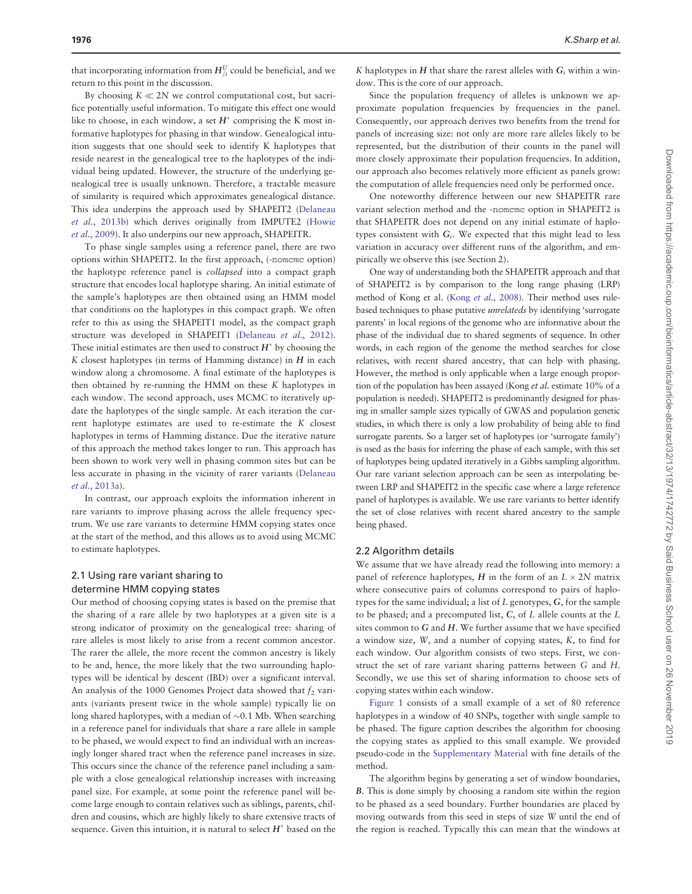that incorporating information from  $H_{/i}^U$  could be beneficial, and we return to this point in the discussion.

By choosing  $K \ll 2N$  we control computational cost, but sacrifice potentially useful information. To mitigate this effect one would like to choose, in each window, a set  $H^*$  comprising the K most informative haplotypes for phasing in that window. Genealogical intuition suggests that one should seek to identify K haplotypes that reside nearest in the genealogical tree to the haplotypes of the individual being updated. However, the structure of the underlying genealogical tree is usually unknown. Therefore, a tractable measure of similarity is required which approximates genealogical distance. This idea underpins the approach used by SHAPEIT2 ([Delaneau](#page-6-0) et al.[, 2013b](#page-6-0)) which derives originally from IMPUTE2 [\(Howie](#page-6-0) et al.[, 2009\)](#page-6-0). It also underpins our new approach, SHAPEITR.

To phase single samples using a reference panel, there are two options within SHAPEIT2. In the first approach, (-nomcmc option) the haplotype reference panel is collapsed into a compact graph structure that encodes local haplotype sharing. An initial estimate of the sample's haplotypes are then obtained using an HMM model that conditions on the haplotypes in this compact graph. We often refer to this as using the SHAPEIT1 model, as the compact graph structure was developed in SHAPEIT1 ([Delaneau](#page-6-0) et al., 2012). These initial estimates are then used to construct  $H^*$  by choosing the  $K$  closest haplotypes (in terms of Hamming distance) in  $H$  in each window along a chromosome. A final estimate of the haplotypes is then obtained by re-running the HMM on these K haplotypes in each window. The second approach, uses MCMC to iteratively update the haplotypes of the single sample. At each iteration the current haplotype estimates are used to re-estimate the K closest haplotypes in terms of Hamming distance. Due the iterative nature of this approach the method takes longer to run. This approach has been shown to work very well in phasing common sites but can be less accurate in phasing in the vicinity of rarer variants ([Delaneau](#page-6-0) et al.[, 2013a\)](#page-6-0).

In contrast, our approach exploits the information inherent in rare variants to improve phasing across the allele frequency spectrum. We use rare variants to determine HMM copying states once at the start of the method, and this allows us to avoid using MCMC to estimate haplotypes.

### 2.1 Using rare variant sharing to determine HMM copying states

Our method of choosing copying states is based on the premise that the sharing of a rare allele by two haplotypes at a given site is a strong indicator of proximity on the genealogical tree: sharing of rare alleles is most likely to arise from a recent common ancestor. The rarer the allele, the more recent the common ancestry is likely to be and, hence, the more likely that the two surrounding haplotypes will be identical by descent (IBD) over a significant interval. An analysis of the 1000 Genomes Project data showed that  $f_2$  variants (variants present twice in the whole sample) typically lie on long shared haplotypes, with a median of  $\sim$ 0.1 Mb. When searching in a reference panel for individuals that share a rare allele in sample to be phased, we would expect to find an individual with an increasingly longer shared tract when the reference panel increases in size. This occurs since the chance of the reference panel including a sample with a close genealogical relationship increases with increasing panel size. For example, at some point the reference panel will become large enough to contain relatives such as siblings, parents, children and cousins, which are highly likely to share extensive tracts of sequence. Given this intuition, it is natural to select  $H^*$  based on the

K haplotypes in H that share the rarest alleles with  $G_i$  within a window. This is the core of our approach.

Since the population frequency of alleles is unknown we approximate population frequencies by frequencies in the panel. Consequently, our approach derives two benefits from the trend for panels of increasing size: not only are more rare alleles likely to be represented, but the distribution of their counts in the panel will more closely approximate their population frequencies. In addition, our approach also becomes relatively more efficient as panels grow: the computation of allele frequencies need only be performed once.

One noteworthy difference between our new SHAPEITR rare variant selection method and the -nomcmc option in SHAPEIT2 is that SHAPEITR does not depend on any initial estimate of haplotypes consistent with  $G_i$ . We expected that this might lead to less variation in accuracy over different runs of the algorithm, and empirically we observe this (see Section 2).

One way of understanding both the SHAPEITR approach and that of SHAPEIT2 is by comparison to the long range phasing (LRP) method of Kong et al. (Kong et al.[, 2008](#page-6-0)). Their method uses rulebased techniques to phase putative unrelateds by identifying 'surrogate parents' in local regions of the genome who are informative about the phase of the individual due to shared segments of sequence. In other words, in each region of the genome the method searches for close relatives, with recent shared ancestry, that can help with phasing. However, the method is only applicable when a large enough proportion of the population has been assayed (Kong et al. estimate 10% of a population is needed). SHAPEIT2 is predominantly designed for phasing in smaller sample sizes typically of GWAS and population genetic studies, in which there is only a low probability of being able to find surrogate parents. So a larger set of haplotypes (or 'surrogate family') is used as the basis for inferring the phase of each sample, with this set of haplotypes being updated iteratively in a Gibbs sampling algorithm. Our rare variant selection approach can be seen as interpolating between LRP and SHAPEIT2 in the specific case where a large reference panel of haplotypes is available. We use rare variants to better identify the set of close relatives with recent shared ancestry to the sample being phased.

#### 2.2 Algorithm details

We assume that we have already read the following into memory: a panel of reference haplotypes, H in the form of an  $L \times 2N$  matrix where consecutive pairs of columns correspond to pairs of haplotypes for the same individual; a list of L genotypes, G, for the sample to be phased; and a precomputed list, C, of L allele counts at the L sites common to G and H. We further assume that we have specified a window size, W, and a number of copying states, K, to find for each window. Our algorithm consists of two steps. First, we construct the set of rare variant sharing patterns between G and H. Secondly, we use this set of sharing information to choose sets of copying states within each window.

[Figure 1](#page-3-0) consists of a small example of a set of 80 reference haplotypes in a window of 40 SNPs, together with single sample to be phased. The figure caption describes the algorithm for choosing the copying states as applied to this small example. We provided pseudo-code in the [Supplementary Material](http://bioinformatics.oxfordjournals.org/lookup/suppl/doi:10.1093/bioinformatics/btw065/-/DC1) with fine details of the method.

The algorithm begins by generating a set of window boundaries, B. This is done simply by choosing a random site within the region to be phased as a seed boundary. Further boundaries are placed by moving outwards from this seed in steps of size W until the end of the region is reached. Typically this can mean that the windows at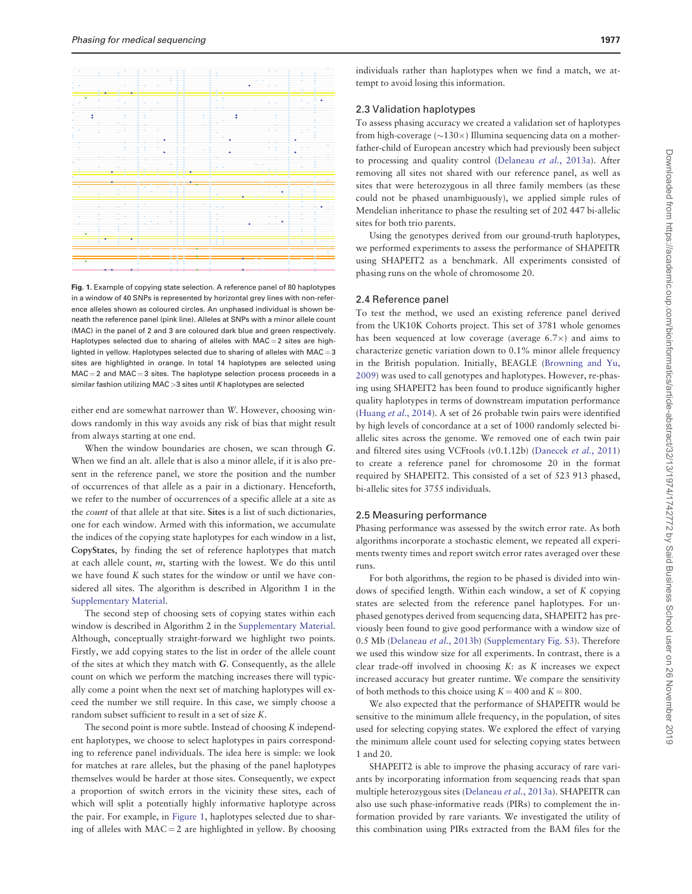<span id="page-3-0"></span>

Fig. 1. Example of copying state selection. A reference panel of 80 haplotypes in a window of 40 SNPs is represented by horizontal grey lines with non-reference alleles shown as coloured circles. An unphased individual is shown beneath the reference panel (pink line). Alleles at SNPs with a minor allele count (MAC) in the panel of 2 and 3 are coloured dark blue and green respectively. Haplotypes selected due to sharing of alleles with  $MAC = 2$  sites are highlighted in yellow. Haplotypes selected due to sharing of alleles with  $MAC = 3$ sites are highlighted in orange. In total 14 haplotypes are selected using  $MAC = 2$  and  $MAC = 3$  sites. The haplotype selection process proceeds in a similar fashion utilizing  $MAC > 3$  sites until  $K$  haplotypes are selected

either end are somewhat narrower than W. However, choosing windows randomly in this way avoids any risk of bias that might result from always starting at one end.

When the window boundaries are chosen, we scan through G. When we find an alt. allele that is also a minor allele, if it is also present in the reference panel, we store the position and the number of occurrences of that allele as a pair in a dictionary. Henceforth, we refer to the number of occurrences of a specific allele at a site as the count of that allele at that site. Sites is a list of such dictionaries, one for each window. Armed with this information, we accumulate the indices of the copying state haplotypes for each window in a list, CopyStates, by finding the set of reference haplotypes that match at each allele count, m, starting with the lowest. We do this until we have found K such states for the window or until we have considered all sites. The algorithm is described in Algorithm 1 in the [Supplementary Material](http://bioinformatics.oxfordjournals.org/lookup/suppl/doi:10.1093/bioinformatics/btw065/-/DC1).

The second step of choosing sets of copying states within each window is described in Algorithm 2 in the [Supplementary Material.](http://bioinformatics.oxfordjournals.org/lookup/suppl/doi:10.1093/bioinformatics/btw065/-/DC1) Although, conceptually straight-forward we highlight two points. Firstly, we add copying states to the list in order of the allele count of the sites at which they match with G. Consequently, as the allele count on which we perform the matching increases there will typically come a point when the next set of matching haplotypes will exceed the number we still require. In this case, we simply choose a random subset sufficient to result in a set of size K.

The second point is more subtle. Instead of choosing K independent haplotypes, we choose to select haplotypes in pairs corresponding to reference panel individuals. The idea here is simple: we look for matches at rare alleles, but the phasing of the panel haplotypes themselves would be harder at those sites. Consequently, we expect a proportion of switch errors in the vicinity these sites, each of which will split a potentially highly informative haplotype across the pair. For example, in Figure 1, haplotypes selected due to sharing of alleles with  $MAC = 2$  are highlighted in yellow. By choosing

individuals rather than haplotypes when we find a match, we attempt to avoid losing this information.

#### 2.3 Validation haplotypes

To assess phasing accuracy we created a validation set of haplotypes from high-coverage ( $\sim$ 130 $\times$ ) Illumina sequencing data on a motherfather-child of European ancestry which had previously been subject to processing and quality control ([Delaneau](#page-6-0) et al., 2013a). After removing all sites not shared with our reference panel, as well as sites that were heterozygous in all three family members (as these could not be phased unambiguously), we applied simple rules of Mendelian inheritance to phase the resulting set of 202 447 bi-allelic sites for both trio parents.

Using the genotypes derived from our ground-truth haplotypes, we performed experiments to assess the performance of SHAPEITR using SHAPEIT2 as a benchmark. All experiments consisted of phasing runs on the whole of chromosome 20.

#### 2.4 Reference panel

To test the method, we used an existing reference panel derived from the UK10K Cohorts project. This set of 3781 whole genomes has been sequenced at low coverage (average  $6.7\times$ ) and aims to characterize genetic variation down to 0.1% minor allele frequency in the British population. Initially, BEAGLE [\(Browning and Yu,](#page-6-0) [2009\)](#page-6-0) was used to call genotypes and haplotypes. However, re-phasing using SHAPEIT2 has been found to produce significantly higher quality haplotypes in terms of downstream imputation performance ([Huang](#page-6-0) et al., 2014). A set of 26 probable twin pairs were identified by high levels of concordance at a set of 1000 randomly selected biallelic sites across the genome. We removed one of each twin pair and filtered sites using VCFtools (v0.1.12b) [\(Danecek](#page-6-0) et al., 2011) to create a reference panel for chromosome 20 in the format required by SHAPEIT2. This consisted of a set of 523 913 phased, bi-allelic sites for 3755 individuals.

#### 2.5 Measuring performance

Phasing performance was assessed by the switch error rate. As both algorithms incorporate a stochastic element, we repeated all experiments twenty times and report switch error rates averaged over these runs.

For both algorithms, the region to be phased is divided into windows of specified length. Within each window, a set of K copying states are selected from the reference panel haplotypes. For unphased genotypes derived from sequencing data, SHAPEIT2 has previously been found to give good performance with a window size of 0.5 Mb ([Delaneau](#page-6-0) et al., 2013b) [\(Supplementary Fig. S3](http://bioinformatics.oxfordjournals.org/lookup/suppl/doi:10.1093/bioinformatics/btw065/-/DC1)). Therefore we used this window size for all experiments. In contrast, there is a clear trade-off involved in choosing  $K$ : as  $K$  increases we expect increased accuracy but greater runtime. We compare the sensitivity of both methods to this choice using  $K = 400$  and  $K = 800$ .

We also expected that the performance of SHAPEITR would be sensitive to the minimum allele frequency, in the population, of sites used for selecting copying states. We explored the effect of varying the minimum allele count used for selecting copying states between 1 and 20.

SHAPEIT2 is able to improve the phasing accuracy of rare variants by incorporating information from sequencing reads that span multiple heterozygous sites ([Delaneau](#page-6-0) et al., 2013a). SHAPEITR can also use such phase-informative reads (PIRs) to complement the information provided by rare variants. We investigated the utility of this combination using PIRs extracted from the BAM files for the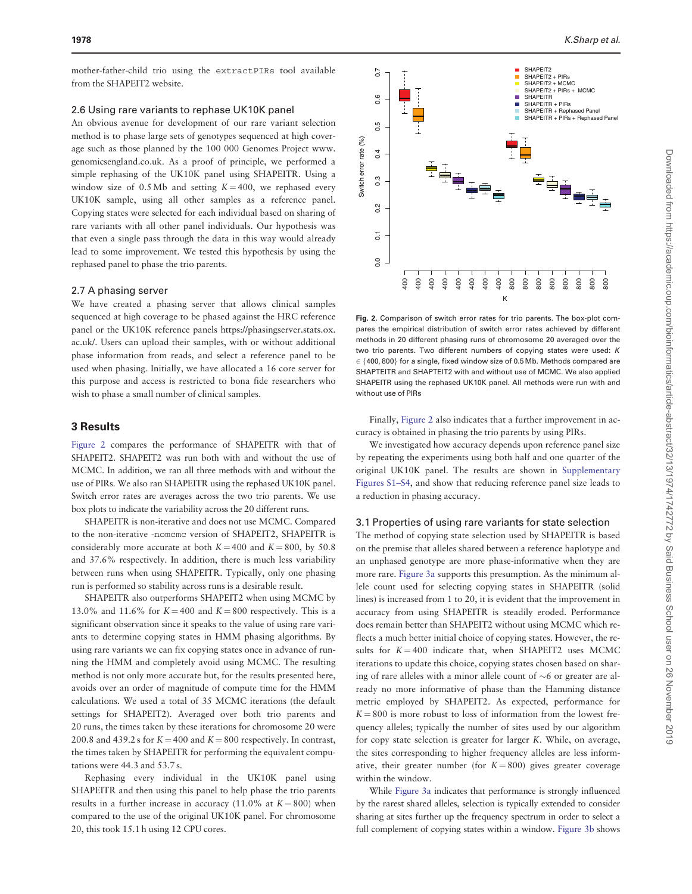mother-father-child trio using the extractPIRs tool available from the SHAPEIT2 website.

#### 2.6 Using rare variants to rephase UK10K panel

An obvious avenue for development of our rare variant selection method is to phase large sets of genotypes sequenced at high coverage such as those planned by the 100 000 Genomes Project [www.](http://www.genomicsengland.co.uk) [genomicsengland.co.uk](http://www.genomicsengland.co.uk). As a proof of principle, we performed a simple rephasing of the UK10K panel using SHAPEITR. Using a window size of 0.5 Mb and setting  $K = 400$ , we rephased every UK10K sample, using all other samples as a reference panel. Copying states were selected for each individual based on sharing of rare variants with all other panel individuals. Our hypothesis was that even a single pass through the data in this way would already lead to some improvement. We tested this hypothesis by using the rephased panel to phase the trio parents.

#### 2.7 A phasing server

We have created a phasing server that allows clinical samples sequenced at high coverage to be phased against the HRC reference panel or the UK10K reference panels [https://phasingserver.stats.ox.](https://phasingserver.stats.ox.ac.uk/) [ac.uk/](https://phasingserver.stats.ox.ac.uk/). Users can upload their samples, with or without additional phase information from reads, and select a reference panel to be used when phasing. Initially, we have allocated a 16 core server for this purpose and access is restricted to bona fide researchers who wish to phase a small number of clinical samples.

#### 3 Results

Figure 2 compares the performance of SHAPEITR with that of SHAPEIT2. SHAPEIT2 was run both with and without the use of MCMC. In addition, we ran all three methods with and without the use of PIRs. We also ran SHAPEITR using the rephased UK10K panel. Switch error rates are averages across the two trio parents. We use box plots to indicate the variability across the 20 different runs.

SHAPEITR is non-iterative and does not use MCMC. Compared to the non-iterative -nomcmc version of SHAPEIT2, SHAPEITR is considerably more accurate at both  $K = 400$  and  $K = 800$ , by 50.8 and 37.6% respectively. In addition, there is much less variability between runs when using SHAPEITR. Typically, only one phasing run is performed so stability across runs is a desirable result.

SHAPEITR also outperforms SHAPEIT2 when using MCMC by 13.0% and 11.6% for  $K = 400$  and  $K = 800$  respectively. This is a significant observation since it speaks to the value of using rare variants to determine copying states in HMM phasing algorithms. By using rare variants we can fix copying states once in advance of running the HMM and completely avoid using MCMC. The resulting method is not only more accurate but, for the results presented here, avoids over an order of magnitude of compute time for the HMM calculations. We used a total of 35 MCMC iterations (the default settings for SHAPEIT2). Averaged over both trio parents and 20 runs, the times taken by these iterations for chromosome 20 were 200.8 and 439.2 s for  $K = 400$  and  $K = 800$  respectively. In contrast, the times taken by SHAPEITR for performing the equivalent computations were 44.3 and 53.7 s.

Rephasing every individual in the UK10K panel using SHAPEITR and then using this panel to help phase the trio parents results in a further increase in accuracy (11.0% at  $K = 800$ ) when compared to the use of the original UK10K panel. For chromosome 20, this took 15.1 h using 12 CPU cores.



Fig. 2. Comparison of switch error rates for trio parents. The box-plot compares the empirical distribution of switch error rates achieved by different methods in 20 different phasing runs of chromosome 20 averaged over the two trio parents. Two different numbers of copying states were used: K  $\in$  {400,800} for a single, fixed window size of 0.5 Mb. Methods compared are SHAPTEITR and SHAPTEIT2 with and without use of MCMC. We also applied SHAPEITR using the rephased UK10K panel. All methods were run with and without use of PIRs

Finally, Figure 2 also indicates that a further improvement in accuracy is obtained in phasing the trio parents by using PIRs.

We investigated how accuracy depends upon reference panel size by repeating the experiments using both half and one quarter of the original UK10K panel. The results are shown in [Supplementary](http://bioinformatics.oxfordjournals.org/lookup/suppl/doi:10.1093/bioinformatics/btw065/-/DC1) [Figures S1–S4](http://bioinformatics.oxfordjournals.org/lookup/suppl/doi:10.1093/bioinformatics/btw065/-/DC1), and show that reducing reference panel size leads to a reduction in phasing accuracy.

#### 3.1 Properties of using rare variants for state selection

The method of copying state selection used by SHAPEITR is based on the premise that alleles shared between a reference haplotype and an unphased genotype are more phase-informative when they are more rare. [Figure 3a](#page-5-0) supports this presumption. As the minimum allele count used for selecting copying states in SHAPEITR (solid lines) is increased from 1 to 20, it is evident that the improvement in accuracy from using SHAPEITR is steadily eroded. Performance does remain better than SHAPEIT2 without using MCMC which reflects a much better initial choice of copying states. However, the results for  $K = 400$  indicate that, when SHAPEIT2 uses MCMC iterations to update this choice, copying states chosen based on sharing of rare alleles with a minor allele count of  $\sim$ 6 or greater are already no more informative of phase than the Hamming distance metric employed by SHAPEIT2. As expected, performance for  $K = 800$  is more robust to loss of information from the lowest frequency alleles; typically the number of sites used by our algorithm for copy state selection is greater for larger K. While, on average, the sites corresponding to higher frequency alleles are less informative, their greater number (for  $K = 800$ ) gives greater coverage within the window. For the state of continuous computer of continuous computer and the state of continuous of continuous of continuous continuous continuous of  $\frac{1}{2}$  and  $\frac{1}{2}$  and  $\frac{1}{2}$  and  $\frac{1}{2}$  and  $\frac{1}{2}$  and  $\frac{1}{2}$ 

While [Figure 3a](#page-5-0) indicates that performance is strongly influenced by the rarest shared alleles, selection is typically extended to consider sharing at sites further up the frequency spectrum in order to select a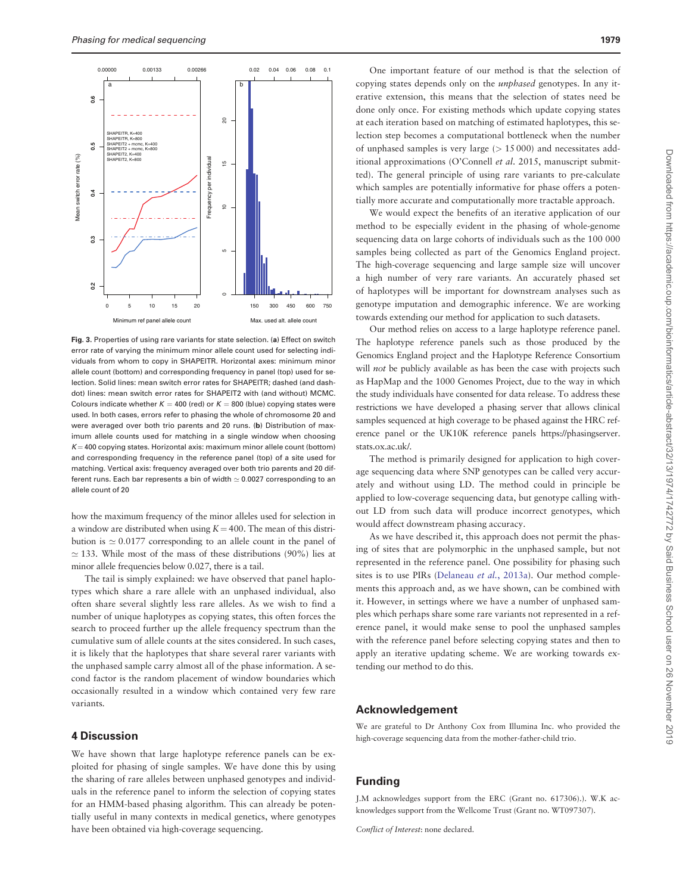<span id="page-5-0"></span>

Fig. 3. Properties of using rare variants for state selection. (a) Effect on switch error rate of varying the minimum minor allele count used for selecting individuals from whom to copy in SHAPEITR. Horizontal axes: minimum minor allele count (bottom) and corresponding frequency in panel (top) used for selection. Solid lines: mean switch error rates for SHAPEITR; dashed (and dashdot) lines: mean switch error rates for SHAPEIT2 with (and without) MCMC. Colours indicate whether  $K = 400$  (red) or  $K = 800$  (blue) copying states were used. In both cases, errors refer to phasing the whole of chromosome 20 and were averaged over both trio parents and 20 runs. (b) Distribution of maximum allele counts used for matching in a single window when choosing  $K = 400$  copying states. Horizontal axis: maximum minor allele count (bottom) and corresponding frequency in the reference panel (top) of a site used for matching. Vertical axis: frequency averaged over both trio parents and 20 different runs. Each bar represents a bin of width  $\simeq$  0.0027 corresponding to an allele count of 20

how the maximum frequency of the minor alleles used for selection in a window are distributed when using  $K = 400$ . The mean of this distribution is  $\simeq 0.0177$  corresponding to an allele count in the panel of  $\simeq$  133. While most of the mass of these distributions (90%) lies at minor allele frequencies below 0.027, there is a tail.

The tail is simply explained: we have observed that panel haplotypes which share a rare allele with an unphased individual, also often share several slightly less rare alleles. As we wish to find a number of unique haplotypes as copying states, this often forces the search to proceed further up the allele frequency spectrum than the cumulative sum of allele counts at the sites considered. In such cases, it is likely that the haplotypes that share several rarer variants with the unphased sample carry almost all of the phase information. A second factor is the random placement of window boundaries which occasionally resulted in a window which contained very few rare variants.

#### 4 Discussion

We have shown that large haplotype reference panels can be exploited for phasing of single samples. We have done this by using the sharing of rare alleles between unphased genotypes and individuals in the reference panel to inform the selection of copying states for an HMM-based phasing algorithm. This can already be potentially useful in many contexts in medical genetics, where genotypes have been obtained via high-coverage sequencing.

One important feature of our method is that the selection of copying states depends only on the *unphased* genotypes. In any iterative extension, this means that the selection of states need be done only once. For existing methods which update copying states at each iteration based on matching of estimated haplotypes, this selection step becomes a computational bottleneck when the number of unphased samples is very large  $(> 15 000)$  and necessitates additional approximations (O'Connell et al. 2015, manuscript submitted). The general principle of using rare variants to pre-calculate which samples are potentially informative for phase offers a potentially more accurate and computationally more tractable approach.

We would expect the benefits of an iterative application of our method to be especially evident in the phasing of whole-genome sequencing data on large cohorts of individuals such as the 100 000 samples being collected as part of the Genomics England project. The high-coverage sequencing and large sample size will uncover a high number of very rare variants. An accurately phased set of haplotypes will be important for downstream analyses such as genotype imputation and demographic inference. We are working towards extending our method for application to such datasets.

Our method relies on access to a large haplotype reference panel. The haplotype reference panels such as those produced by the Genomics England project and the Haplotype Reference Consortium will *not* be publicly available as has been the case with projects such as HapMap and the 1000 Genomes Project, due to the way in which the study individuals have consented for data release. To address these restrictions we have developed a phasing server that allows clinical samples sequenced at high coverage to be phased against the HRC reference panel or the UK10K reference panels [https://phasingserver.](https://phasingserver.stats.ox.ac.uk/) [stats.ox.ac.uk/](https://phasingserver.stats.ox.ac.uk/).

The method is primarily designed for application to high coverage sequencing data where SNP genotypes can be called very accurately and without using LD. The method could in principle be applied to low-coverage sequencing data, but genotype calling without LD from such data will produce incorrect genotypes, which would affect downstream phasing accuracy.

As we have described it, this approach does not permit the phasing of sites that are polymorphic in the unphased sample, but not represented in the reference panel. One possibility for phasing such sites is to use PIRs [\(Delaneau](#page-6-0) et al., 2013a). Our method complements this approach and, as we have shown, can be combined with it. However, in settings where we have a number of unphased samples which perhaps share some rare variants not represented in a reference panel, it would make sense to pool the unphased samples with the reference panel before selecting copying states and then to apply an iterative updating scheme. We are working towards extending our method to do this.

## Acknowledgement

We are grateful to Dr Anthony Cox from Illumina Inc. who provided the high-coverage sequencing data from the mother-father-child trio.

## Funding

J.M acknowledges support from the ERC (Grant no. 617306).). W.K acknowledges support from the Wellcome Trust (Grant no. WT097307).

Conflict of Interest: none declared.